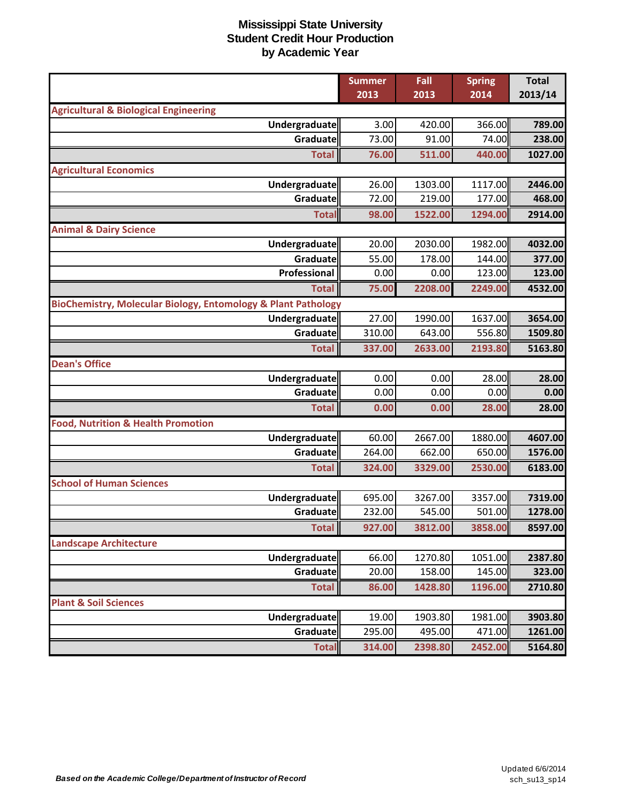|                                                               | <b>Summer</b> | Fall    | <b>Spring</b> | <b>Total</b> |
|---------------------------------------------------------------|---------------|---------|---------------|--------------|
|                                                               | 2013          | 2013    | 2014          | 2013/14      |
| <b>Agricultural &amp; Biological Engineering</b>              |               |         |               |              |
| <b>Undergraduate</b>                                          | 3.00          | 420.00  | 366.00        | 789.00       |
| Graduate                                                      | 73.00         | 91.00   | 74.00         | 238.00       |
| <b>Total</b>                                                  | 76.00         | 511.00  | 440.00        | 1027.00      |
| <b>Agricultural Economics</b>                                 |               |         |               |              |
| Undergraduate                                                 | 26.00         | 1303.00 | 1117.00       | 2446.00      |
| Graduate                                                      | 72.00         | 219.00  | 177.00        | 468.00       |
| <b>Total</b>                                                  | 98.00         | 1522.00 | 1294.00       | 2914.00      |
| <b>Animal &amp; Dairy Science</b>                             |               |         |               |              |
| Undergraduate                                                 | 20.00         | 2030.00 | 1982.00       | 4032.00      |
| Graduate                                                      | 55.00         | 178.00  | 144.00        | 377.00       |
| Professional                                                  | 0.00          | 0.00    | 123.00        | 123.00       |
| <b>Total</b>                                                  | 75.00         | 2208.00 | 2249.00       | 4532.00      |
| BioChemistry, Molecular Biology, Entomology & Plant Pathology |               |         |               |              |
| <b>Undergraduate</b>                                          | 27.00         | 1990.00 | 1637.00       | 3654.00      |
| Graduate                                                      | 310.00        | 643.00  | 556.80        | 1509.80      |
| <b>Total</b>                                                  | 337.00        | 2633.00 | 2193.80       | 5163.80      |
| <b>Dean's Office</b>                                          |               |         |               |              |
| Undergraduate                                                 | 0.00          | 0.00    | 28.00         | 28.00        |
| Graduate                                                      | 0.00          | 0.00    | 0.00          | 0.00         |
| <b>Total</b>                                                  | 0.00          | 0.00    | 28.00         | 28.00        |
| <b>Food, Nutrition &amp; Health Promotion</b>                 |               |         |               |              |
| Undergraduate                                                 | 60.00         | 2667.00 | 1880.00       | 4607.00      |
| Graduate                                                      | 264.00        | 662.00  | 650.00        | 1576.00      |
| <b>Total</b>                                                  | 324.00        | 3329.00 | 2530.00       | 6183.00      |
| <b>School of Human Sciences</b>                               |               |         |               |              |
| Undergraduate                                                 | 695.00        | 3267.00 | 3357.00       | 7319.00      |
| Graduate                                                      | 232.00        | 545.00  | 501.00        | 1278.00      |
| <b>Total</b>                                                  | 927.00        | 3812.00 | 3858.00       | 8597.00      |
| <b>Landscape Architecture</b>                                 |               |         |               |              |
| Undergraduate                                                 | 66.00         | 1270.80 | 1051.00       | 2387.80      |
| Graduate                                                      | 20.00         | 158.00  | 145.00        | 323.00       |
| <b>Total</b>                                                  | 86.00         | 1428.80 | 1196.00       | 2710.80      |
| <b>Plant &amp; Soil Sciences</b>                              |               |         |               |              |
| <b>Undergraduate</b>                                          | 19.00         | 1903.80 | 1981.00       | 3903.80      |
| <b>Graduate</b>                                               | 295.00        | 495.00  | 471.00        | 1261.00      |
| <b>Total</b>                                                  | 314.00        | 2398.80 | 2452.00       | 5164.80      |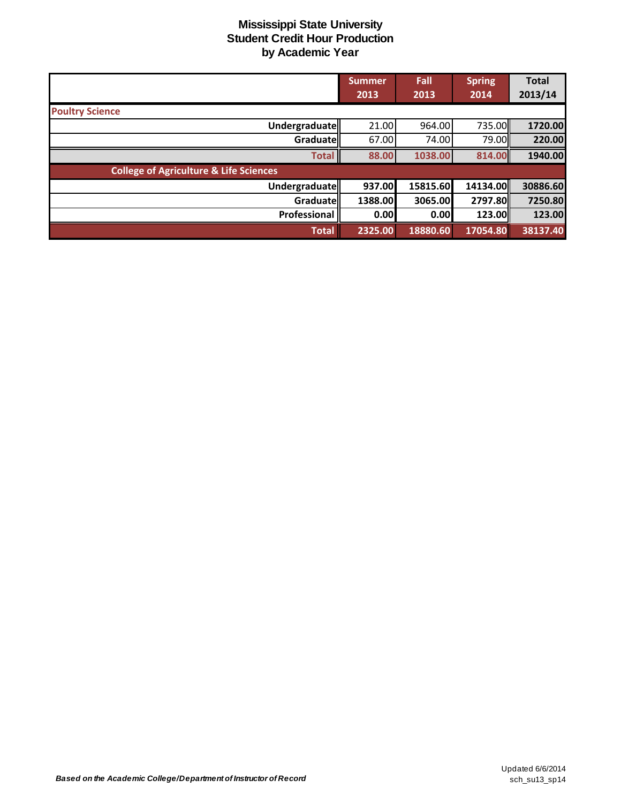|                                                   | Summer<br>2013 | Fall<br>2013 | <b>Spring</b><br>2014 | <b>Total</b><br>2013/14 |
|---------------------------------------------------|----------------|--------------|-----------------------|-------------------------|
| <b>Poultry Science</b>                            |                |              |                       |                         |
| <b>Undergraduate</b>                              | 21.00          | 964.00       | 735.00                | 1720.00                 |
| Graduatell                                        | 67.00          | 74.00        | 79.00II               | 220.00                  |
| <b>Total</b>                                      | 88.00          | 1038.00      | 814.00                | 1940.00                 |
| <b>College of Agriculture &amp; Life Sciences</b> |                |              |                       |                         |
| Undergraduate                                     | 937.00         | 15815.60     | 14134.00              | 30886.60                |
| Graduatell                                        | 1388.00        | 3065.00      | 2797.80               | 7250.80                 |
| Professional                                      | 0.00           | 0.00         | 123.00                | 123.00                  |
| <b>Total</b>                                      | 2325.00        | 18880.60     | 17054.80              | 38137.40                |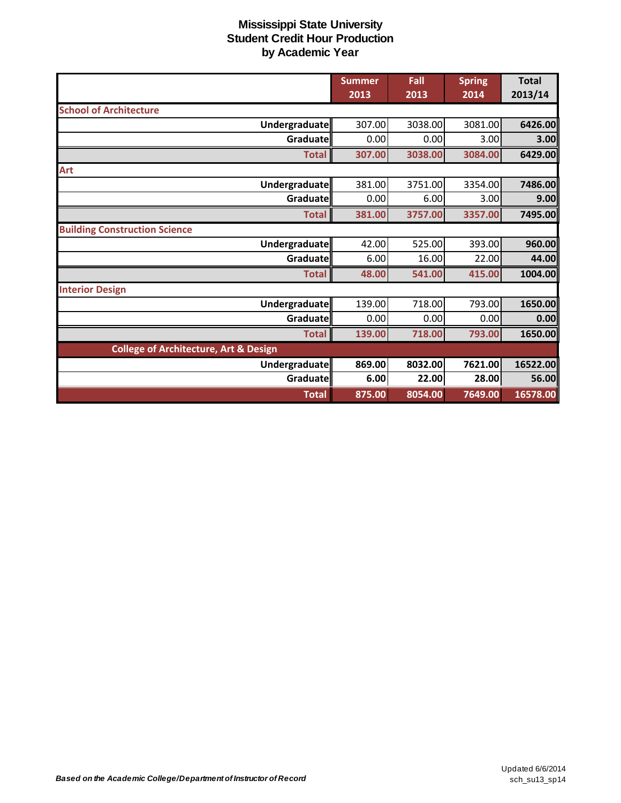|                                                  | <b>Summer</b><br>2013 | Fall<br>2013 | <b>Spring</b><br>2014 | <b>Total</b><br>2013/14 |
|--------------------------------------------------|-----------------------|--------------|-----------------------|-------------------------|
| <b>School of Architecture</b>                    |                       |              |                       |                         |
| Undergraduate                                    | 307.00                | 3038.00      | 3081.00               | 6426.00                 |
| Graduate                                         | 0.00                  | 0.00         | 3.00                  | 3.00                    |
| <b>Total</b>                                     | 307.00                | 3038.00      | 3084.00               | 6429.00                 |
| Art                                              |                       |              |                       |                         |
| Undergraduate                                    | 381.00                | 3751.00      | 3354.00               | 7486.00                 |
| Graduate                                         | 0.00                  | 6.00         | 3.00                  | 9.00                    |
| <b>Total</b>                                     | 381.00                | 3757.00      | 3357.00               | 7495.00                 |
| <b>Building Construction Science</b>             |                       |              |                       |                         |
| Undergraduate                                    | 42.00                 | 525.00       | 393.00                | 960.00                  |
| Graduate                                         | 6.00                  | 16.00        | 22.00                 | 44.00                   |
| <b>Total</b>                                     | 48.00                 | 541.00       | 415.00                | 1004.00                 |
| <b>Interior Design</b>                           |                       |              |                       |                         |
| Undergraduate                                    | 139.00                | 718.00       | 793.00                | 1650.00                 |
| Graduate                                         | 0.00                  | 0.00         | 0.00                  | 0.00                    |
| <b>Total</b>                                     | 139.00                | 718.00       | 793.00                | 1650.00                 |
| <b>College of Architecture, Art &amp; Design</b> |                       |              |                       |                         |
| Undergraduate                                    | 869.00                | 8032.00      | 7621.00               | 16522.00                |
| Graduate                                         | 6.00                  | 22.00        | 28.00                 | 56.00                   |
| <b>Total</b>                                     | 875.00                | 8054.00      | 7649.00               | 16578.00                |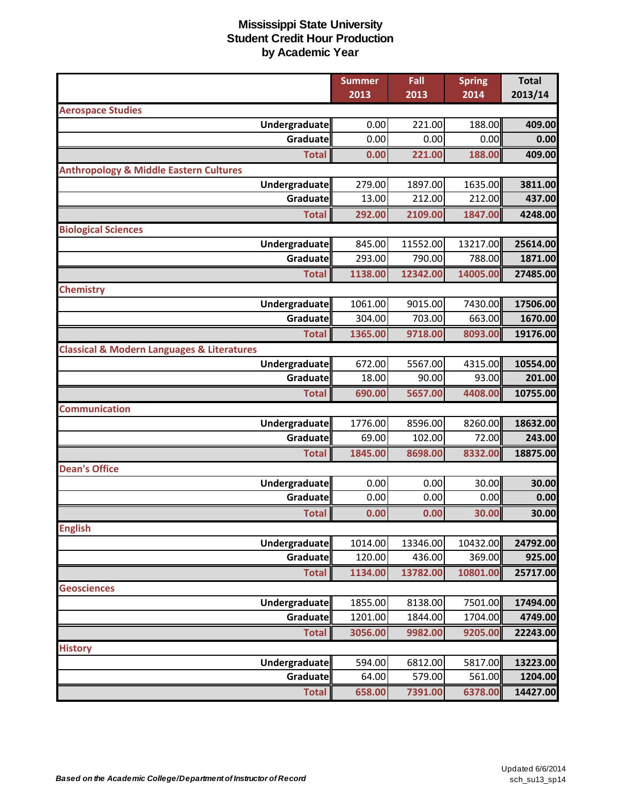|                                                           | <b>Summer</b> | Fall     | <b>Spring</b> | <b>Total</b> |
|-----------------------------------------------------------|---------------|----------|---------------|--------------|
|                                                           | 2013          | 2013     | 2014          | 2013/14      |
| <b>Aerospace Studies</b>                                  |               |          |               |              |
| Undergraduate                                             | 0.00          | 221.00   | 188.00        | 409.00       |
| Graduate                                                  | 0.00          | 0.00     | 0.00          | 0.00         |
| <b>Total</b>                                              | 0.00          | 221.00   | 188.00        | 409.00       |
| <b>Anthropology &amp; Middle Eastern Cultures</b>         |               |          |               |              |
| Undergraduate                                             | 279.00        | 1897.00  | 1635.00       | 3811.00      |
| Graduate                                                  | 13.00         | 212.00   | 212.00        | 437.00       |
| <b>Total</b>                                              | 292.00        | 2109.00  | 1847.00       | 4248.00      |
| <b>Biological Sciences</b>                                |               |          |               |              |
| Undergraduate                                             | 845.00        | 11552.00 | 13217.00      | 25614.00     |
| Graduate                                                  | 293.00        | 790.00   | 788.00        | 1871.00      |
| <b>Total</b>                                              | 1138.00       | 12342.00 | 14005.00      | 27485.00     |
| <b>Chemistry</b>                                          |               |          |               |              |
| <b>Undergraduate</b>                                      | 1061.00       | 9015.00  | 7430.00       | 17506.00     |
| Graduate                                                  | 304.00        | 703.00   | 663.00        | 1670.00      |
| <b>Total</b>                                              | 1365.00       | 9718.00  | 8093.00       | 19176.00     |
| <b>Classical &amp; Modern Languages &amp; Literatures</b> |               |          |               |              |
| Undergraduate                                             | 672.00        | 5567.00  | 4315.00       | 10554.00     |
| Graduate                                                  | 18.00         | 90.00    | 93.00         | 201.00       |
| <b>Total</b>                                              | 690.00        | 5657.00  | 4408.00       | 10755.00     |
| <b>Communication</b>                                      |               |          |               |              |
| Undergraduate                                             | 1776.00       | 8596.00  | 8260.00       | 18632.00     |
| Graduate                                                  | 69.00         | 102.00   | 72.00         | 243.00       |
| <b>Total</b>                                              | 1845.00       | 8698.00  | 8332.00       | 18875.00     |
| <b>Dean's Office</b>                                      |               |          |               |              |
| <b>Undergraduate</b>                                      | 0.00          | 0.00     | 30.00         | 30.00        |
| Graduate                                                  | 0.00          | 0.00     | 0.00          | 0.00         |
| <b>Total</b>                                              | 0.00          | 0.00     | 30.00         | 30.00        |
| <b>English</b>                                            |               |          |               |              |
| <b>Undergraduate</b>                                      | 1014.00       | 13346.00 | 10432.00      | 24792.00     |
| Graduate                                                  | 120.00        | 436.00   | 369.00        | 925.00       |
| <b>Total</b>                                              | 1134.00       | 13782.00 | 10801.00      | 25717.00     |
| <b>Geosciences</b>                                        |               |          |               |              |
| Undergraduate                                             | 1855.00       | 8138.00  | 7501.00       | 17494.00     |
| Graduate                                                  | 1201.00       | 1844.00  | 1704.00       | 4749.00      |
| <b>Total</b>                                              | 3056.00       | 9982.00  | 9205.00       | 22243.00     |
| <b>History</b>                                            |               |          |               |              |
| <b>Undergraduate</b>                                      | 594.00        | 6812.00  | 5817.00       | 13223.00     |
| Graduate                                                  | 64.00         | 579.00   | 561.00        | 1204.00      |
| <b>Total</b>                                              | 658.00        | 7391.00  | 6378.00       | 14427.00     |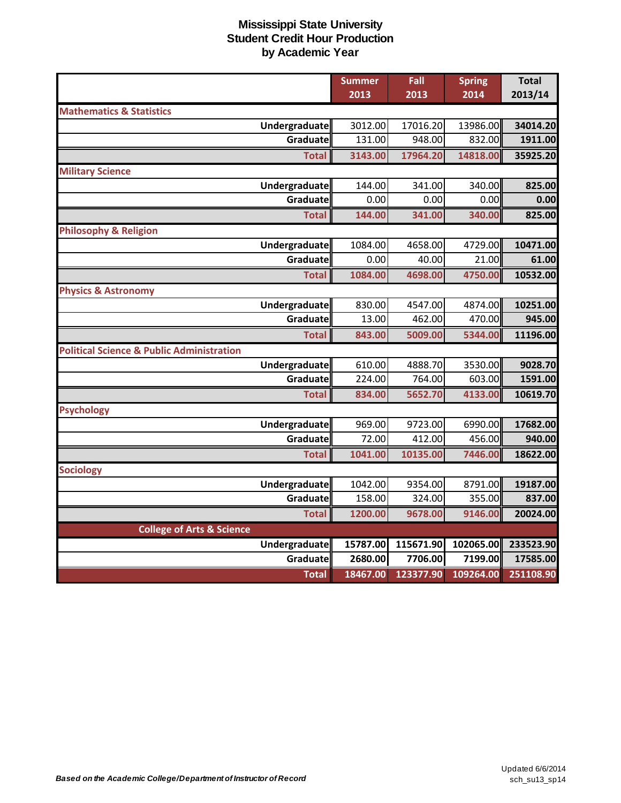|                                                      | <b>Summer</b> | Fall      | <b>Spring</b> | <b>Total</b> |
|------------------------------------------------------|---------------|-----------|---------------|--------------|
|                                                      | 2013          | 2013      | 2014          | 2013/14      |
| <b>Mathematics &amp; Statistics</b>                  |               |           |               |              |
| Undergraduate                                        | 3012.00       | 17016.20  | 13986.00      | 34014.20     |
| Graduate                                             | 131.00        | 948.00    | 832.00        | 1911.00      |
| <b>Total</b>                                         | 3143.00       | 17964.20  | 14818.00      | 35925.20     |
| <b>Military Science</b>                              |               |           |               |              |
| <b>Undergraduate</b>                                 | 144.00        | 341.00    | 340.00        | 825.00       |
| Graduate                                             | 0.00          | 0.00      | 0.00          | 0.00         |
| <b>Total</b>                                         | 144.00        | 341.00    | 340.00        | 825.00       |
| <b>Philosophy &amp; Religion</b>                     |               |           |               |              |
| <b>Undergraduate</b>                                 | 1084.00       | 4658.00   | 4729.00       | 10471.00     |
| Graduate                                             | 0.00          | 40.00     | 21.00         | 61.00        |
| <b>Total</b>                                         | 1084.00       | 4698.00   | 4750.00       | 10532.00     |
| <b>Physics &amp; Astronomy</b>                       |               |           |               |              |
| <b>Undergraduate</b>                                 | 830.00        | 4547.00   | 4874.00       | 10251.00     |
| Graduate                                             | 13.00         | 462.00    | 470.00        | 945.00       |
| <b>Total</b>                                         | 843.00        | 5009.00   | 5344.00       | 11196.00     |
| <b>Political Science &amp; Public Administration</b> |               |           |               |              |
| <b>Undergraduate</b>                                 | 610.00        | 4888.70   | 3530.00       | 9028.70      |
| Graduate                                             | 224.00        | 764.00    | 603.00        | 1591.00      |
| <b>Total</b>                                         | 834.00        | 5652.70   | 4133.00       | 10619.70     |
| <b>Psychology</b>                                    |               |           |               |              |
| Undergraduate                                        | 969.00        | 9723.00   | 6990.00       | 17682.00     |
| Graduate                                             | 72.00         | 412.00    | 456.00        | 940.00       |
| <b>Total</b>                                         | 1041.00       | 10135.00  | 7446.00       | 18622.00     |
| <b>Sociology</b>                                     |               |           |               |              |
| <b>Undergraduate</b>                                 | 1042.00       | 9354.00   | 8791.00       | 19187.00     |
| Graduate                                             | 158.00        | 324.00    | 355.00        | 837.00       |
| <b>Total</b>                                         | 1200.00       | 9678.00   | 9146.00       | 20024.00     |
| <b>College of Arts &amp; Science</b>                 |               |           |               |              |
| <b>Undergraduate</b>                                 | 15787.00      | 115671.90 | 102065.00     | 233523.90    |
| Graduate                                             | 2680.00       | 7706.00   | 7199.00       | 17585.00     |
| <b>Total</b>                                         | 18467.00      | 123377.90 | 109264.00     | 251108.90    |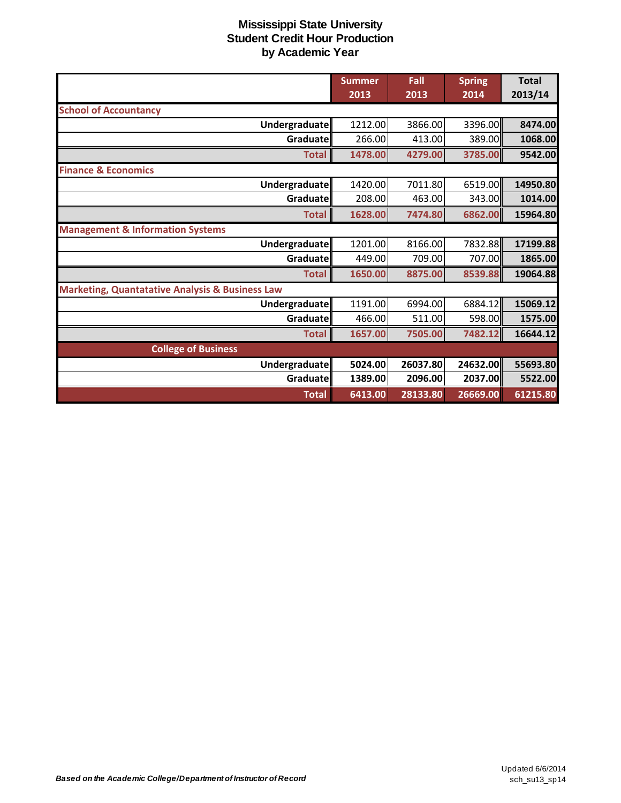|                                                            | <b>Summer</b><br>2013 | Fall<br>2013 | <b>Spring</b><br>2014 | <b>Total</b><br>2013/14 |
|------------------------------------------------------------|-----------------------|--------------|-----------------------|-------------------------|
| <b>School of Accountancy</b>                               |                       |              |                       |                         |
| Undergraduate                                              | 1212.00               | 3866.00      | 3396.00               | 8474.00                 |
| Graduatell                                                 | 266.00                | 413.00       | 389.00                | 1068.00                 |
| <b>Total</b>                                               | 1478.00               | 4279.00      | 3785.00               | 9542.00                 |
| <b>Finance &amp; Economics</b>                             |                       |              |                       |                         |
| Undergraduate                                              | 1420.00               | 7011.80      | 6519.00               | 14950.80                |
| Graduate                                                   | 208.00                | 463.00       | 343.00                | 1014.00                 |
| <b>Total</b>                                               | 1628.00               | 7474.80      | 6862.00               | 15964.80                |
| <b>Management &amp; Information Systems</b>                |                       |              |                       |                         |
| Undergraduate                                              | 1201.00               | 8166.00      | 7832.88               | 17199.88                |
| Graduate                                                   | 449.00                | 709.00       | 707.00                | 1865.00                 |
| <b>Total</b>                                               | 1650.00               | 8875.00      | 8539.88               | 19064.88                |
| <b>Marketing, Quantatative Analysis &amp; Business Law</b> |                       |              |                       |                         |
| Undergraduate                                              | 1191.00               | 6994.00      | 6884.12               | 15069.12                |
| Graduate                                                   | 466.00                | 511.00       | 598.00                | 1575.00                 |
| <b>Total</b>                                               | 1657.00               | 7505.00      | 7482.12               | 16644.12                |
| <b>College of Business</b>                                 |                       |              |                       |                         |
| Undergraduate                                              | 5024.00               | 26037.80     | 24632.00              | 55693.80                |
| Graduate                                                   | 1389.00               | 2096.00      | 2037.00               | 5522.00                 |
| <b>Total</b>                                               | 6413.00               | 28133.80     | 26669.00              | 61215.80                |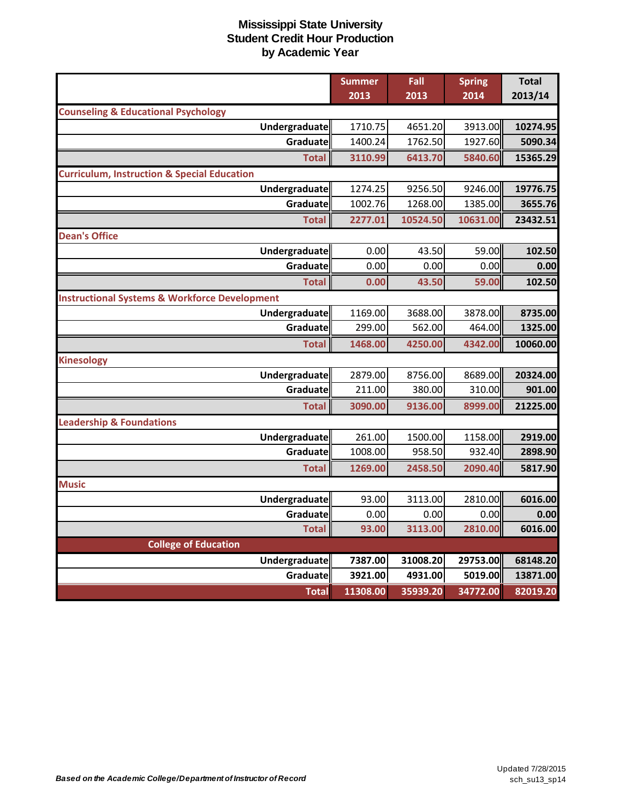|                                                          | <b>Summer</b> | Fall     | <b>Spring</b> | <b>Total</b> |
|----------------------------------------------------------|---------------|----------|---------------|--------------|
|                                                          | 2013          | 2013     | 2014          | 2013/14      |
| <b>Counseling &amp; Educational Psychology</b>           |               |          |               |              |
| Undergraduate                                            | 1710.75       | 4651.20  | 3913.00       | 10274.95     |
| Graduate                                                 | 1400.24       | 1762.50  | 1927.60       | 5090.34      |
| <b>Total</b>                                             | 3110.99       | 6413.70  | 5840.60       | 15365.29     |
| <b>Curriculum, Instruction &amp; Special Education</b>   |               |          |               |              |
| Undergraduate                                            | 1274.25       | 9256.50  | 9246.00       | 19776.75     |
| Graduate                                                 | 1002.76       | 1268.00  | 1385.00       | 3655.76      |
| <b>Total</b>                                             | 2277.01       | 10524.50 | 10631.00      | 23432.51     |
| <b>Dean's Office</b>                                     |               |          |               |              |
| Undergraduate                                            | 0.00          | 43.50    | 59.00         | 102.50       |
| Graduate                                                 | 0.00          | 0.00     | 0.00          | 0.00         |
| <b>Total</b>                                             | 0.00          | 43.50    | 59.00         | 102.50       |
| <b>Instructional Systems &amp; Workforce Development</b> |               |          |               |              |
| Undergraduate                                            | 1169.00       | 3688.00  | 3878.00       | 8735.00      |
| Graduate                                                 | 299.00        | 562.00   | 464.00        | 1325.00      |
| <b>Total</b>                                             | 1468.00       | 4250.00  | 4342.00       | 10060.00     |
| <b>Kinesology</b>                                        |               |          |               |              |
| Undergraduate                                            | 2879.00       | 8756.00  | 8689.00       | 20324.00     |
| Graduate                                                 | 211.00        | 380.00   | 310.00        | 901.00       |
| <b>Total</b>                                             | 3090.00       | 9136.00  | 8999.00       | 21225.00     |
| <b>Leadership &amp; Foundations</b>                      |               |          |               |              |
| Undergraduate                                            | 261.00        | 1500.00  | 1158.00       | 2919.00      |
| Graduate                                                 | 1008.00       | 958.50   | 932.40        | 2898.90      |
| <b>Total</b>                                             | 1269.00       | 2458.50  | 2090.40       | 5817.90      |
| <b>Music</b>                                             |               |          |               |              |
| Undergraduate                                            | 93.00         | 3113.00  | 2810.00       | 6016.00      |
| Graduate                                                 | 0.00          | 0.00     | 0.00          | 0.00         |
| <b>Total</b>                                             | 93.00         | 3113.00  | 2810.00       | 6016.00      |
| <b>College of Education</b>                              |               |          |               |              |
| Undergraduate                                            | 7387.00       | 31008.20 | 29753.00      | 68148.20     |
| Graduate                                                 | 3921.00       | 4931.00  | 5019.00       | 13871.00     |
| <b>Total</b>                                             | 11308.00      | 35939.20 | 34772.00      | 82019.20     |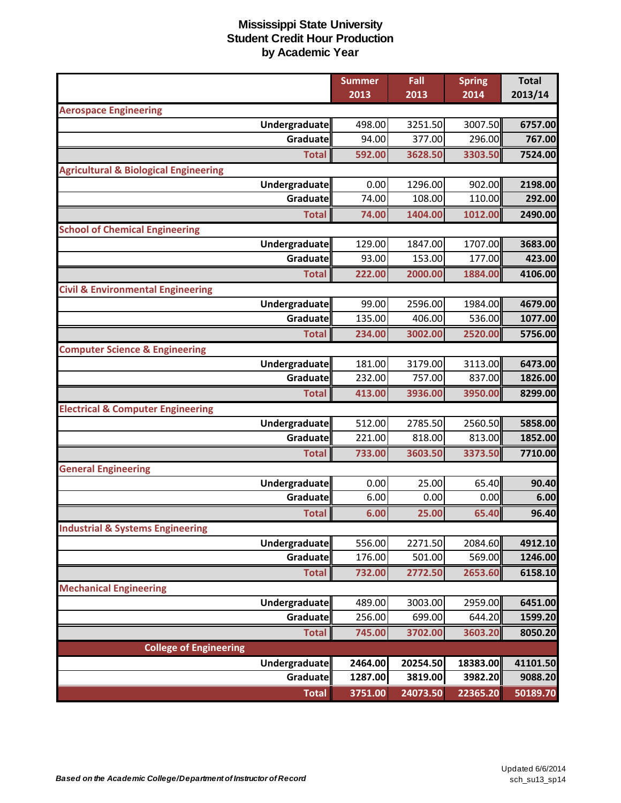| 2013/14<br>2013<br>2013<br>2014<br><b>Aerospace Engineering</b><br>3251.50<br>3007.50<br>Undergraduate<br>498.00<br>6757.00<br>Graduate<br>94.00<br>377.00<br>296.00 |         |
|----------------------------------------------------------------------------------------------------------------------------------------------------------------------|---------|
|                                                                                                                                                                      |         |
|                                                                                                                                                                      |         |
|                                                                                                                                                                      |         |
|                                                                                                                                                                      | 767.00  |
| 592.00<br><b>Total</b><br>3628.50<br>3303.50                                                                                                                         | 7524.00 |
| <b>Agricultural &amp; Biological Engineering</b>                                                                                                                     |         |
| 1296.00<br>Undergraduate<br>0.00<br>902.00                                                                                                                           | 2198.00 |
| 74.00<br>108.00<br>110.00<br>Graduate                                                                                                                                | 292.00  |
| <b>Total</b><br>74.00<br>1404.00<br>1012.00                                                                                                                          | 2490.00 |
| <b>School of Chemical Engineering</b>                                                                                                                                |         |
| 129.00<br>Undergraduate<br>1847.00<br>1707.00                                                                                                                        | 3683.00 |
| Graduate<br>93.00<br>153.00<br>177.00                                                                                                                                | 423.00  |
| <b>Total</b><br>222.00<br>2000.00<br>1884.00                                                                                                                         | 4106.00 |
| <b>Civil &amp; Environmental Engineering</b>                                                                                                                         |         |
| Undergraduate<br>99.00<br>2596.00<br>1984.00                                                                                                                         | 4679.00 |
| 135.00<br>406.00<br>536.00<br>Graduate                                                                                                                               | 1077.00 |
| 2520.00<br>234.00<br>3002.00<br><b>Total</b>                                                                                                                         | 5756.00 |
| <b>Computer Science &amp; Engineering</b>                                                                                                                            |         |
| 3113.00<br>Undergraduate<br>181.00<br>3179.00                                                                                                                        | 6473.00 |
| <b>Graduate</b><br>232.00<br>757.00<br>837.00                                                                                                                        | 1826.00 |
| 413.00<br>3936.00<br>3950.00<br><b>Total</b>                                                                                                                         | 8299.00 |
| <b>Electrical &amp; Computer Engineering</b>                                                                                                                         |         |
| 512.00<br><b>Undergraduate</b><br>2785.50<br>2560.50                                                                                                                 | 5858.00 |
| Graduate<br>221.00<br>818.00<br>813.00                                                                                                                               | 1852.00 |
| 733.00<br>3603.50<br>3373.50<br><b>Total</b>                                                                                                                         | 7710.00 |
| <b>General Engineering</b>                                                                                                                                           |         |
| <b>Undergraduate</b><br>0.00<br>25.00<br>65.40                                                                                                                       | 90.40   |
| 6.00<br>0.00<br>0.00<br>Graduate                                                                                                                                     | 6.00    |
| 6.00<br>25.00<br>65.40<br><b>Total</b>                                                                                                                               | 96.40   |
| <b>Industrial &amp; Systems Engineering</b>                                                                                                                          |         |
| 556.00<br>2271.50<br>Undergraduate<br>2084.60                                                                                                                        | 4912.10 |
| 176.00<br>501.00<br>Graduate<br>569.00                                                                                                                               | 1246.00 |
| <b>Total</b><br>732.00<br>2772.50<br>2653.60                                                                                                                         | 6158.10 |
| <b>Mechanical Engineering</b>                                                                                                                                        |         |
| 489.00<br>3003.00<br><b>Undergraduate</b><br>2959.00                                                                                                                 | 6451.00 |
| 256.00<br>699.00<br>Graduate<br>644.20                                                                                                                               | 1599.20 |
| <b>Total</b><br>745.00<br>3702.00<br>3603.20                                                                                                                         | 8050.20 |
| <b>College of Engineering</b>                                                                                                                                        |         |
| 2464.00<br>20254.50<br>18383.00<br>Undergraduate<br>41101.50                                                                                                         |         |
| 1287.00<br>3819.00<br><b>Graduate</b><br>3982.20                                                                                                                     | 9088.20 |
| 3751.00<br>24073.50<br>22365.20<br><b>Total</b><br>50189.70                                                                                                          |         |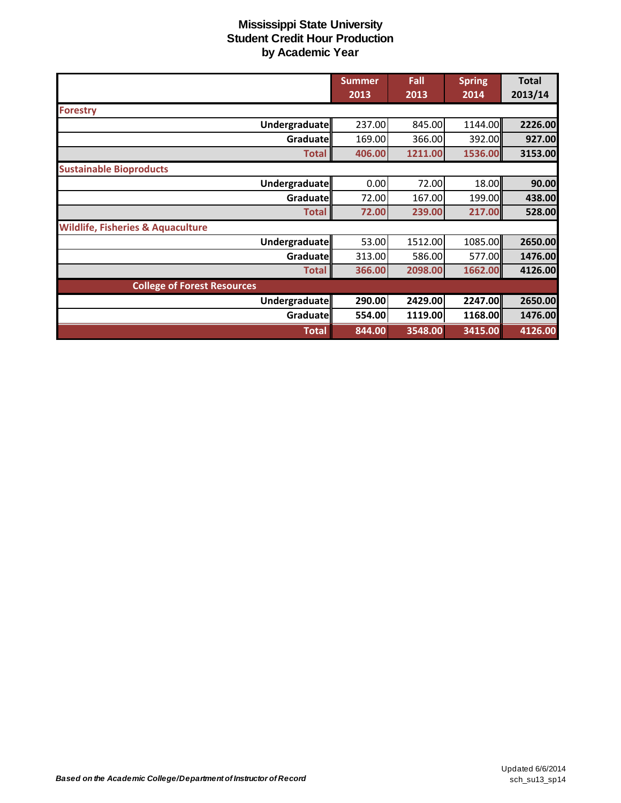|                                              | <b>Summer</b> | Fall    | <b>Spring</b> | <b>Total</b> |
|----------------------------------------------|---------------|---------|---------------|--------------|
|                                              | 2013          | 2013    | 2014          | 2013/14      |
| <b>Forestry</b>                              |               |         |               |              |
| Undergraduate                                | 237.00        | 845.00  | 1144.00       | 2226.00      |
| Graduate                                     | 169.00        | 366.00  | 392.00        | 927.00       |
| <b>Total</b>                                 | 406.00        | 1211.00 | 1536.00       | 3153.00      |
| <b>Sustainable Bioproducts</b>               |               |         |               |              |
| Undergraduate                                | 0.00          | 72.00   | 18.00         | 90.00        |
| Graduate                                     | 72.00         | 167.00  | 199.00        | 438.00       |
| <b>Total</b>                                 | 72.00         | 239.00  | 217.00        | 528.00       |
| <b>Wildlife, Fisheries &amp; Aquaculture</b> |               |         |               |              |
| Undergraduate                                | 53.00         | 1512.00 | 1085.00       | 2650.00      |
| Graduate                                     | 313.00        | 586.00  | 577.00        | 1476.00      |
| <b>Total</b>                                 | 366.00        | 2098.00 | 1662.00       | 4126.00      |
| <b>College of Forest Resources</b>           |               |         |               |              |
| Undergraduate                                | 290.00        | 2429.00 | 2247.00       | 2650.00      |
| Graduate                                     | 554.00        | 1119.00 | 1168.00       | 1476.00      |
| <b>Total</b>                                 | 844.00        | 3548.00 | 3415.00       | 4126.00      |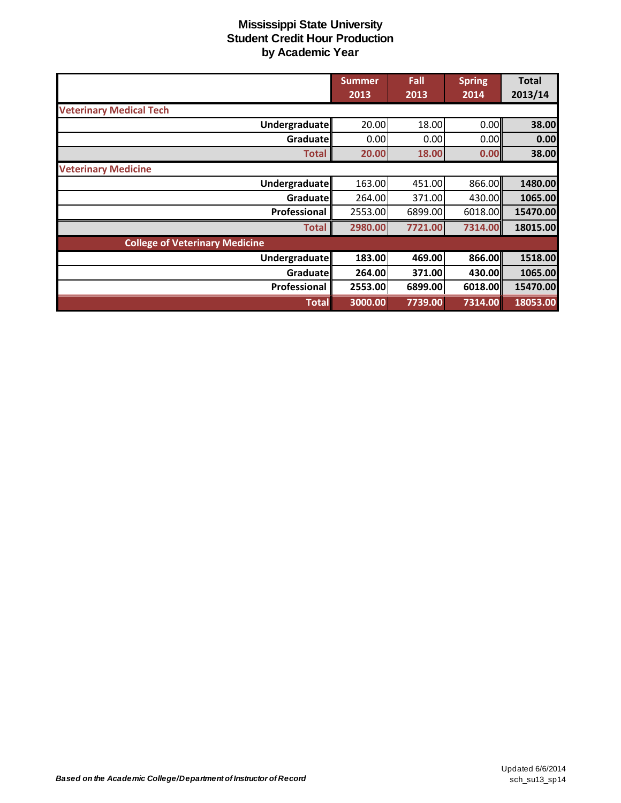|                                       | <b>Summer</b> | Fall    | <b>Spring</b>   | <b>Total</b> |
|---------------------------------------|---------------|---------|-----------------|--------------|
|                                       | 2013          | 2013    | 2014            | 2013/14      |
| <b>Veterinary Medical Tech</b>        |               |         |                 |              |
| Undergraduate                         | 20.00         | 18.00   | 0.00            | 38.00        |
| Graduatell                            | 0.00          | 0.00    | 0.00            | 0.00         |
| <b>Total</b>                          | 20.00         | 18.00   | 0.00            | 38.00        |
| <b>Veterinary Medicine</b>            |               |         |                 |              |
| Undergraduate                         | 163.00        | 451.00  | 866.00          | 1480.00      |
| Graduate                              | 264.00        | 371.00  | 430.00          | 1065.00      |
| Professional                          | 2553.00       | 6899.00 | 6018.00         | 15470.00     |
| <b>Total</b>                          | 2980.00       | 7721.00 | 7314.00         | 18015.00     |
| <b>College of Veterinary Medicine</b> |               |         |                 |              |
| Undergraduate                         | 183.00        | 469.00  | 866.00          | 1518.00      |
| Graduate                              | 264.00        | 371.00  | 430.00 <b>1</b> | 1065.00      |
| Professional                          | 2553.00       | 6899.00 | 6018.00         | 15470.00     |
| <b>Total</b>                          | 3000.00       | 7739.00 | 7314.00         | 18053.00     |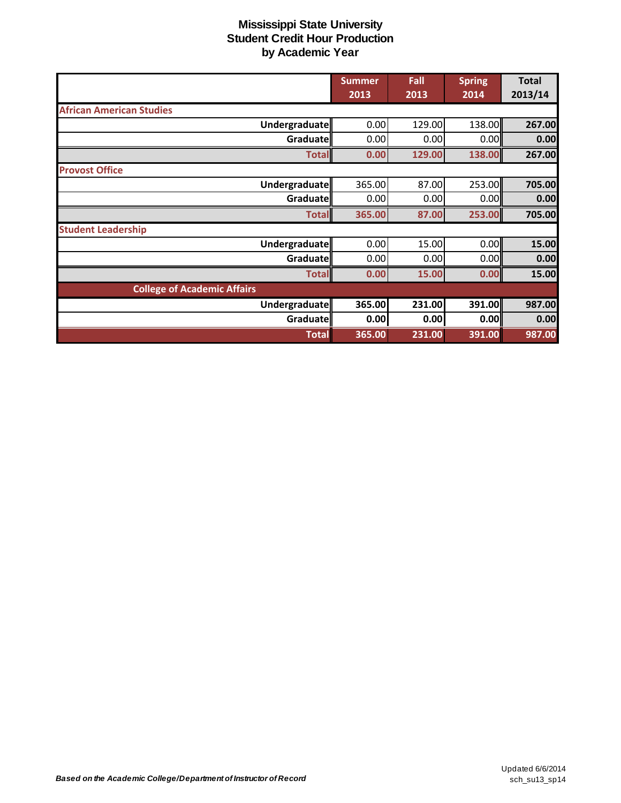|                                    | <b>Summer</b> | Fall   | <b>Spring</b> | <b>Total</b> |
|------------------------------------|---------------|--------|---------------|--------------|
|                                    | 2013          | 2013   | 2014          | 2013/14      |
| <b>African American Studies</b>    |               |        |               |              |
| Undergraduate                      | 0.00          | 129.00 | 138.00        | 267.00       |
| Graduate                           | 0.00          | 0.00   | 0.00          | 0.00         |
| <b>Total</b>                       | 0.00          | 129.00 | 138.00        | 267.00       |
| <b>Provost Office</b>              |               |        |               |              |
| Undergraduate                      | 365.00        | 87.00  | 253.00        | 705.00       |
| Graduate                           | 0.00          | 0.00   | 0.00          | 0.00         |
| <b>Total</b>                       | 365.00        | 87.00  | 253.00        | 705.00       |
| <b>Student Leadership</b>          |               |        |               |              |
| Undergraduate                      | 0.00          | 15.00  | 0.00          | 15.00        |
| Graduate                           | 0.00          | 0.00   | 0.00          | 0.00         |
| <b>Total</b>                       | 0.00          | 15.00  | 0.00          | 15.00        |
| <b>College of Academic Affairs</b> |               |        |               |              |
| Undergraduate                      | 365.00        | 231.00 | 391.00        | 987.00       |
| Graduate                           | 0.00          | 0.00   | 0.00          | 0.00         |
| <b>Total</b>                       | 365.00        | 231.00 | 391.00        | 987.00       |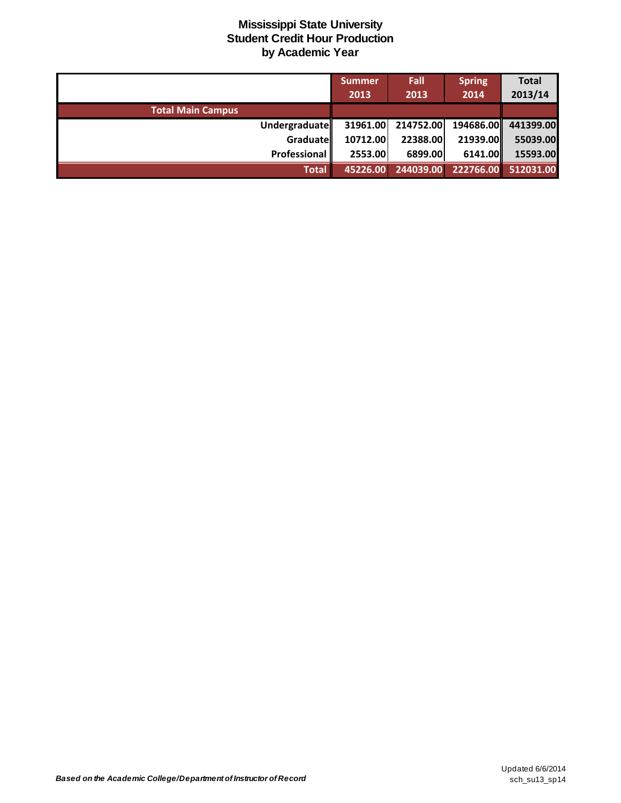|                          | <b>Summer</b> | Fall      | <b>Spring</b> | <b>Total</b>        |
|--------------------------|---------------|-----------|---------------|---------------------|
|                          | 2013          | 2013      | 2014          | 2013/14             |
| <b>Total Main Campus</b> |               |           |               |                     |
| <b>Undergraduate</b>     | 31961.00      | 214752.00 |               | 194686.00 441399.00 |
| Graduate                 | 10712.00      | 22388.00  | 21939.00      | 55039.00            |
| Professional             | 2553.00       | 6899.00   | 6141.00       | 15593.00            |
| <b>Total</b>             | 45226.00      | 244039.00 |               | 222766.00 512031.00 |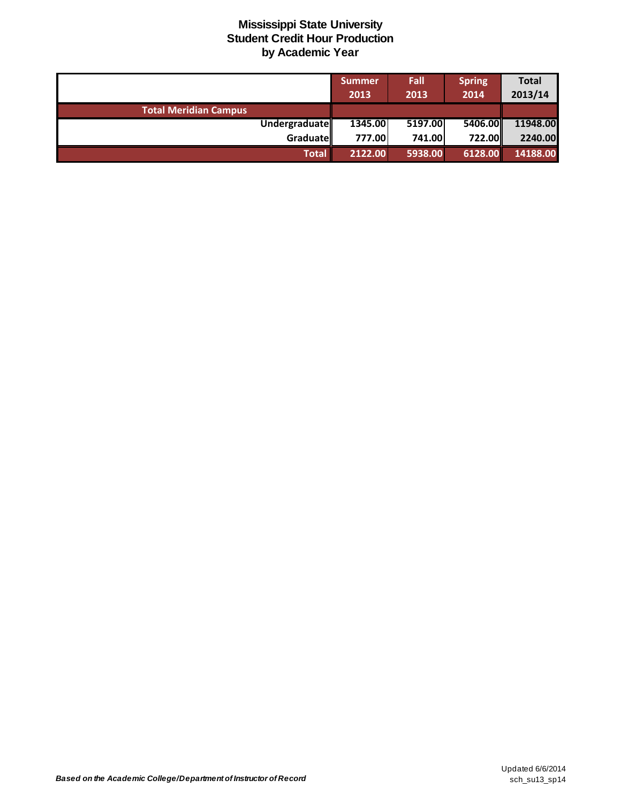|                              | <b>Summer</b><br>2013 | Fall<br>2013 | <b>Spring</b><br>2014 | <b>Total</b><br>2013/14 |
|------------------------------|-----------------------|--------------|-----------------------|-------------------------|
| <b>Total Meridian Campus</b> |                       |              |                       |                         |
| Undergraduate                | 1345.00               | 5197.00      | 5406.00               | 11948.00                |
| Graduate                     | 777.00                | 741.00       | <b>722.00II</b>       | 2240.00                 |
| <b>Total</b>                 | 2122.00               | 5938.00      | 6128.00               | 14188.00                |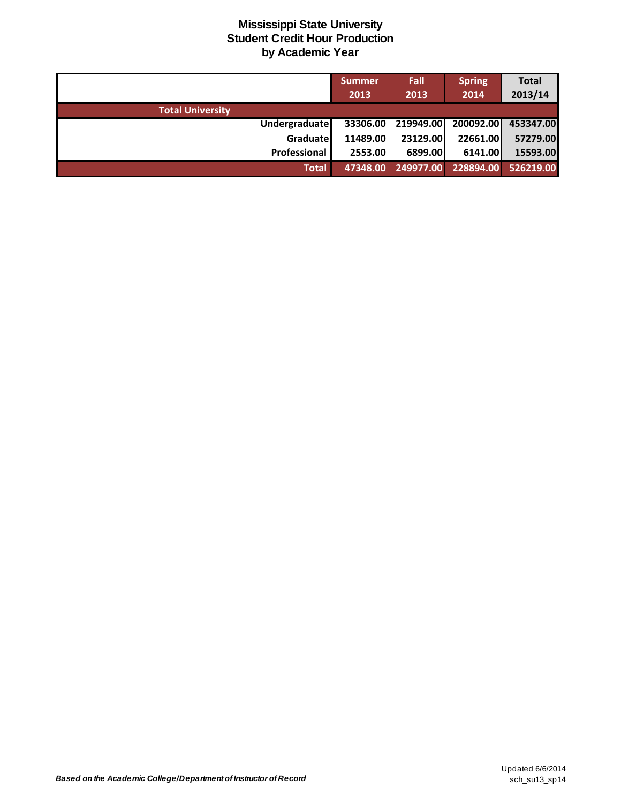|                         | <b>Summer</b><br>2013 | Fall<br>2013 | <b>Spring</b><br>2014 | <b>Total</b><br>2013/14 |
|-------------------------|-----------------------|--------------|-----------------------|-------------------------|
| <b>Total University</b> |                       |              |                       |                         |
| Undergraduatel          | 33306.00              | 219949.00    | 200092.00             | 453347.00               |
| Graduate                | 11489.00              | 23129.00     | 22661.00              | 57279.00                |
| <b>Professional</b>     | 2553.00               | 6899.00      | 6141.00               | 15593.00                |
| <b>Total</b>            | 47348.00              | 249977.00    | 228894.00             | 526219.00               |